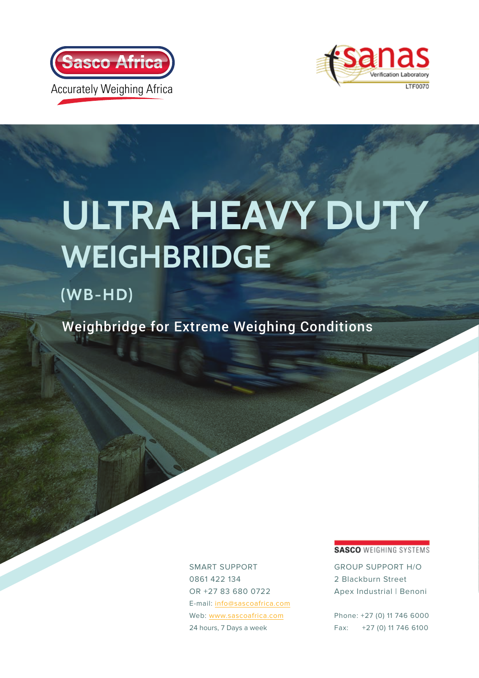



# **ULTRA HEAVY DUT WEIGHBRIDGE**

### **(WB-HD)**

Weighbridge for Extreme Weighing Conditions

SMART SUPPORT 0861 422 134 OR +27 83 680 0722 E-mail: [info@sascoafrica.com](mailto:%20info%40sascoafrica.com?subject=ULTRA%20HEAVY%20DUTY%20WEIGHBRIDGE%20%28WB-HD%29) Web: [www.sascoafrica.com](http://www.sascoafrica.com ) 24 hours, 7 Days a week

#### **SASCO WEIGHING SYSTEMS**

GROUP SUPPORT H/O 2 Blackburn Street Apex Industrial | Benoni

Phone: +27 (0) 11 746 6000 Fax: +27 (0) 11 746 6100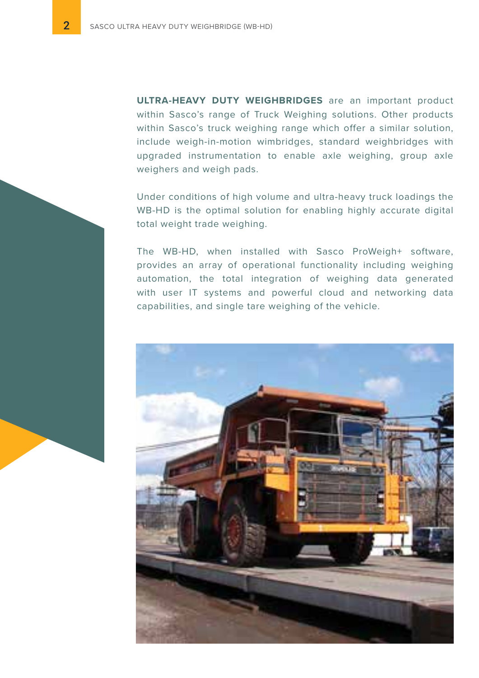**ULTRA-HEAVY DUTY WEIGHBRIDGES** are an important product within Sasco's range of Truck Weighing solutions. Other products within Sasco's truck weighing range which offer a similar solution, include weigh-in-motion wimbridges, standard weighbridges with upgraded instrumentation to enable axle weighing, group axle weighers and weigh pads.

Under conditions of high volume and ultra-heavy truck loadings the WB-HD is the optimal solution for enabling highly accurate digital total weight trade weighing.

The WB-HD, when installed with Sasco ProWeigh+ software, provides an array of operational functionality including weighing automation, the total integration of weighing data generated with user IT systems and powerful cloud and networking data capabilities, and single tare weighing of the vehicle.

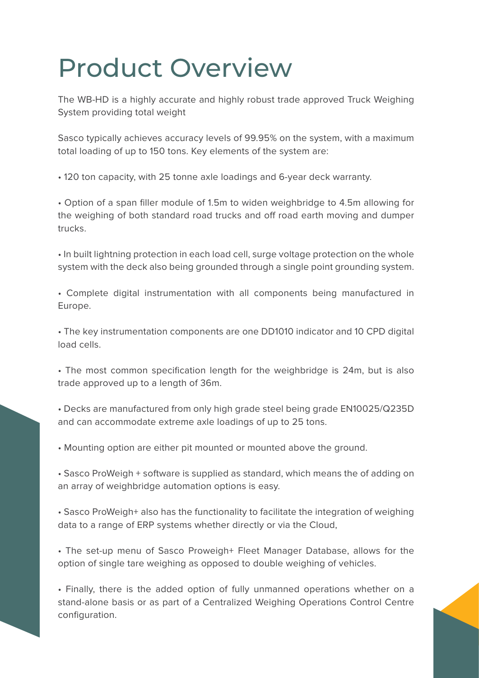### Product Overview

The WB-HD is a highly accurate and highly robust trade approved Truck Weighing System providing total weight

Sasco typically achieves accuracy levels of 99.95% on the system, with a maximum total loading of up to 150 tons. Key elements of the system are:

• 120 ton capacity, with 25 tonne axle loadings and 6-year deck warranty.

• Option of a span filler module of 1.5m to widen weighbridge to 4.5m allowing for the weighing of both standard road trucks and off road earth moving and dumper trucks.

• In built lightning protection in each load cell, surge voltage protection on the whole system with the deck also being grounded through a single point grounding system.

• Complete digital instrumentation with all components being manufactured in Europe.

• The key instrumentation components are one DD1010 indicator and 10 CPD digital load cells.

• The most common specification length for the weighbridge is 24m, but is also trade approved up to a length of 36m.

• Decks are manufactured from only high grade steel being grade EN10025/Q235D and can accommodate extreme axle loadings of up to 25 tons.

• Mounting option are either pit mounted or mounted above the ground.

• Sasco ProWeigh + software is supplied as standard, which means the of adding on an array of weighbridge automation options is easy.

• Sasco ProWeigh+ also has the functionality to facilitate the integration of weighing data to a range of ERP systems whether directly or via the Cloud,

• The set-up menu of Sasco Proweigh+ Fleet Manager Database, allows for the option of single tare weighing as opposed to double weighing of vehicles.

• Finally, there is the added option of fully unmanned operations whether on a stand-alone basis or as part of a Centralized Weighing Operations Control Centre configuration.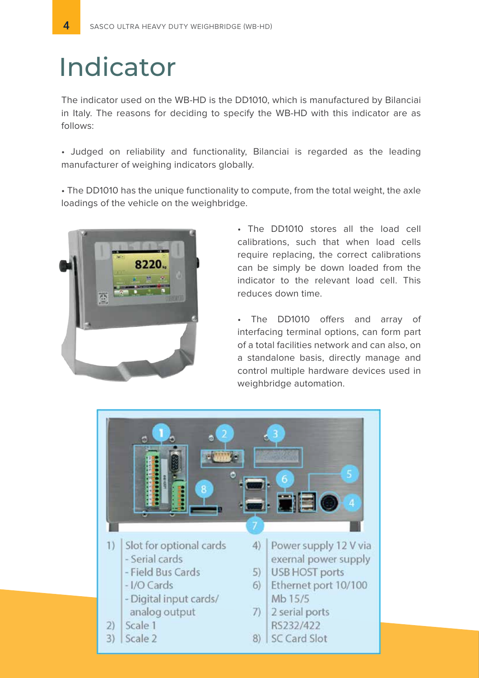### Indicator

The indicator used on the WB-HD is the DD1010, which is manufactured by Bilanciai in Italy. The reasons for deciding to specify the WB-HD with this indicator are as follows:

• Judged on reliability and functionality, Bilanciai is regarded as the leading manufacturer of weighing indicators globally.

• The DD1010 has the unique functionality to compute, from the total weight, the axle loadings of the vehicle on the weighbridge.



• The DD1010 stores all the load cell calibrations, such that when load cells require replacing, the correct calibrations can be simply be down loaded from the indicator to the relevant load cell. This reduces down time.

• The DD1010 offers and array of interfacing terminal options, can form part of a total facilities network and can also, on a standalone basis, directly manage and control multiple hardware devices used in weighbridge automation.

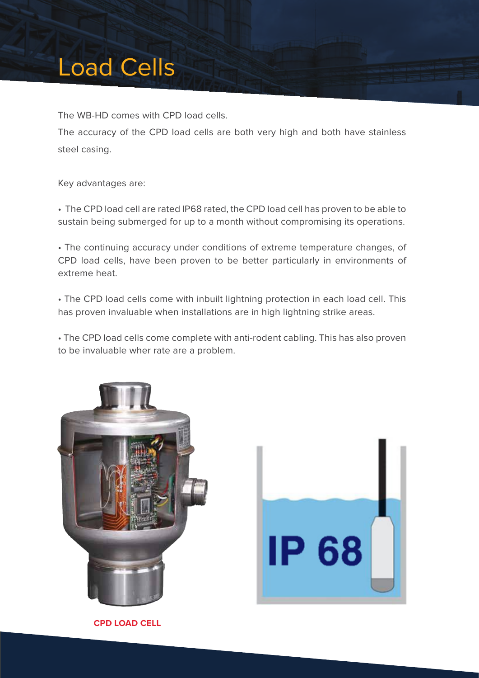### Load Cells

The WB-HD comes with CPD load cells.

The accuracy of the CPD load cells are both very high and both have stainless steel casing.

Key advantages are:

• The CPD load cell are rated IP68 rated, the CPD load cell has proven to be able to sustain being submerged for up to a month without compromising its operations.

• The continuing accuracy under conditions of extreme temperature changes, of CPD load cells, have been proven to be better particularly in environments of extreme heat.

• The CPD load cells come with inbuilt lightning protection in each load cell. This has proven invaluable when installations are in high lightning strike areas.

• The CPD load cells come complete with anti-rodent cabling. This has also proven to be invaluable wher rate are a problem.





**CPD LOAD CELL**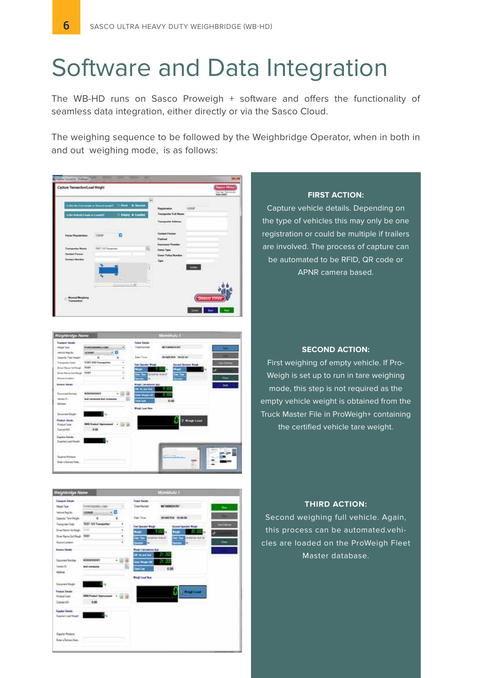### Software and Data Integration

The WB-HD runs on Sasco Proweigh + software and offers the functionality of seamless data integration, either directly or via the Sasco Cloud.

The weighing sequence to be followed by the Weighbridge Operator, when in both in and out weighing mode, is as follows:

| Captus Tessamus Politikum<br>aphre Transaction/Load Weight              |                             |                                                                                    |   |                                                                                           |               | Sasso Africa                   |
|-------------------------------------------------------------------------|-----------------------------|------------------------------------------------------------------------------------|---|-------------------------------------------------------------------------------------------|---------------|--------------------------------|
|                                                                         |                             |                                                                                    |   |                                                                                           |               | Turi ku Tini ni<br>Tanle (KBS) |
| to the Mobile Empty or Lowmall<br><b><i>CARL CARD CARDS</i></b>         |                             | is the first single as Committee gold. IT First 1 & Second<br>It timely in Laudest | = | <b>Transporter Fall Name</b><br>announ Ada                                                | <b>TZDEAP</b> |                                |
| <b>Florid Flegislastic</b><br><b>STANDARD NY</b><br>293.91              | 12050F<br><b>PERSONA</b>    |                                                                                    |   | Weakness Statist<br><b>Contact Person</b><br><b>Turkind</b><br><b>Trendrated Frontier</b> |               |                                |
| <b>Transmitter Name</b><br><b>Guidad Param</b><br><b>Contact Member</b> | <b>TOUT 121 Transporter</b> |                                                                                    |   | Cover Type<br>Corps Policy Number<br>Tape                                                 |               |                                |
|                                                                         |                             | ü                                                                                  |   |                                                                                           |               |                                |
|                                                                         |                             | <b>Card</b>                                                                        |   |                                                                                           |               | Sasco PAV                      |
| Teams                                                                   |                             |                                                                                    |   |                                                                                           |               |                                |



### **Sales Parks West and** فالمسا Corpor KG **Contract Manager** Enterio Delivery Ni

#### **FIRST ACTION:**

Capture vehicle details. Depending on the type of vehicles this may only be one registration or could be multiple if trailers are involved. The process of capture can be automated to be RFID, QR code or APNR camera based.

#### **SECOND ACTION:**

First weighing of empty vehicle. If Pro-Weigh is set up to run in tare weighing mode, this step is not required as the empty vehicle weight is obtained from the Truck Master File in ProWeigh+ containing the certified vehicle tare weight.

#### **THIRD ACTION:**

Second weighing full vehicle. Again, this process can be automated.vehicles are loaded on the ProWeigh Fleet Master database.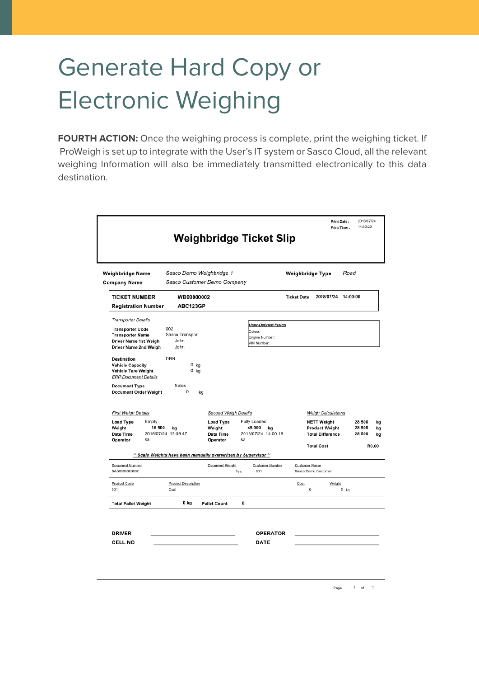### Generate Hard Copy or Electronic Weighing

**FOURTH ACTION:** Once the weighing process is complete, print the weighing ticket. If ProWeigh is set up to integrate with the User's IT system or Sasco Cloud, all the relevant weighing Information will also be immediately transmitted electronically to this data destination.

| Sasco Demo Weighbridge 1<br>Weighbridge Name<br>Sasco Customer Demo Company<br><b>Company Name</b>                                                                                                                                                                                                |                                                                                                   |                                                                 |                                                                       | Road<br>Weighbridge Type                                                                            |                                              |  |  |
|---------------------------------------------------------------------------------------------------------------------------------------------------------------------------------------------------------------------------------------------------------------------------------------------------|---------------------------------------------------------------------------------------------------|-----------------------------------------------------------------|-----------------------------------------------------------------------|-----------------------------------------------------------------------------------------------------|----------------------------------------------|--|--|
| <b>TICKET NUMBER</b><br><b>Registration Number</b>                                                                                                                                                                                                                                                | WB00000002<br>ABC123GP                                                                            |                                                                 |                                                                       | <b>Ticket Date</b><br>2018/07/24                                                                    | 14:00:00                                     |  |  |
| <b>Transporter Details</b><br><b>Transporter Code</b><br><b>Transporter Name</b><br>Driver Name 1st Weigh<br>Driver Name 2nd Weigh<br><b>Destination</b><br><b>Vehicle Capacity</b><br>Vehicle Tare Weight<br><b>ERP Document Details</b><br><b>Document Type</b><br><b>Document Order Weight</b> | 002<br>Sasco Transport<br>John<br>John<br><b>DBN</b><br>0 kg<br>$0$ kg<br>Sales<br>$\Omega$<br>kg |                                                                 | <b>User-Defined Fields</b><br>Colour<br>Engine Number:<br>VIN Number: |                                                                                                     |                                              |  |  |
| <b>First Weigh Details</b><br>Empty<br><b>Load Type</b><br>16 500<br>Weight<br><b>Date Time</b>                                                                                                                                                                                                   | kg<br>2018/07/24 13:59.47                                                                         | Second Weigh Details<br><b>Load Type</b><br>Weight<br>Date Time | Fully Loaded<br>45 000<br>kg<br>2018/07/24 14:00.19                   | <b>Weigh Calculations</b><br><b>NETT Weight</b><br><b>Product Weight</b><br><b>Total Difference</b> | 28 500<br>kg<br>28 500<br>kg<br>28 500<br>kg |  |  |
| Operator<br>sa                                                                                                                                                                                                                                                                                    |                                                                                                   | Operator                                                        | sa                                                                    | <b>Total Cost</b>                                                                                   | R0,00                                        |  |  |
| Document Number<br>SAS0000000002                                                                                                                                                                                                                                                                  | ** Scale Weights have been manually overwritten by Supervisor **                                  | Document Weight                                                 | Customer Number<br>001<br>0 <sub>ka</sub>                             | Customer Name<br>Sasco Demo Customer                                                                |                                              |  |  |
| Product Code<br>001                                                                                                                                                                                                                                                                               | Product Description<br>Coal                                                                       |                                                                 |                                                                       | Weight<br>Cost<br>$^{\circ}$<br>$0$ $ka$                                                            |                                              |  |  |
|                                                                                                                                                                                                                                                                                                   |                                                                                                   | <b>Pallet Count</b>                                             | 0                                                                     |                                                                                                     |                                              |  |  |

Page 1 of 1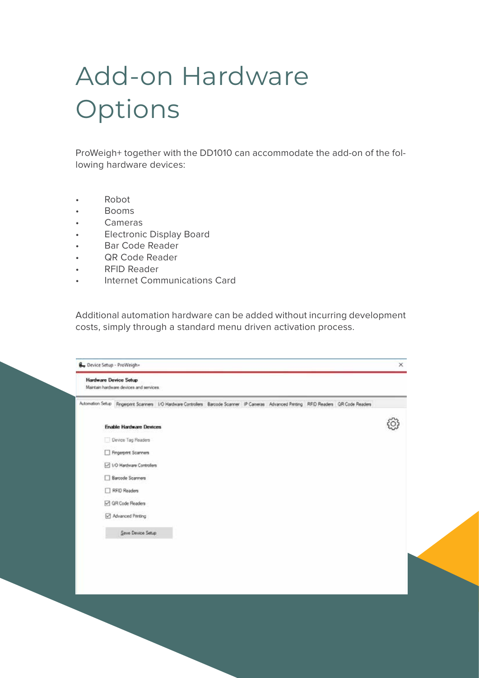## Add-on Hardware Options

ProWeigh+ together with the DD1010 can accommodate the add-on of the following hardware devices:

- Robot
- Booms
- Cameras
- Electronic Display Board
- Bar Code Reader
- QR Code Reader
- RFID Reader
- Internet Communications Card

Additional automation hardware can be added without incurring development costs, simply through a standard menu driven activation process.

| <b>Hardware Device Setup</b> | Maintain hardware devices and services.                                                                                                  |  |
|------------------------------|------------------------------------------------------------------------------------------------------------------------------------------|--|
|                              | Automation Setup Fingerprint Scanners 1/O Hardware Controllers Barcode Scanner IP Cameras Advanced Piniting RFID Readers GR Code Readers |  |
|                              | <b>Enable Hardware Devices</b>                                                                                                           |  |
|                              | Device Tag Readers                                                                                                                       |  |
|                              | Fingerprint Scanners                                                                                                                     |  |
|                              | <b>D</b> I/O Hardware Controllers                                                                                                        |  |
|                              | Barcode Scanners                                                                                                                         |  |
|                              | RFID Readers                                                                                                                             |  |
|                              | GR Code Readers                                                                                                                          |  |
|                              | Advanced Pmting                                                                                                                          |  |
|                              | Save Device Setup                                                                                                                        |  |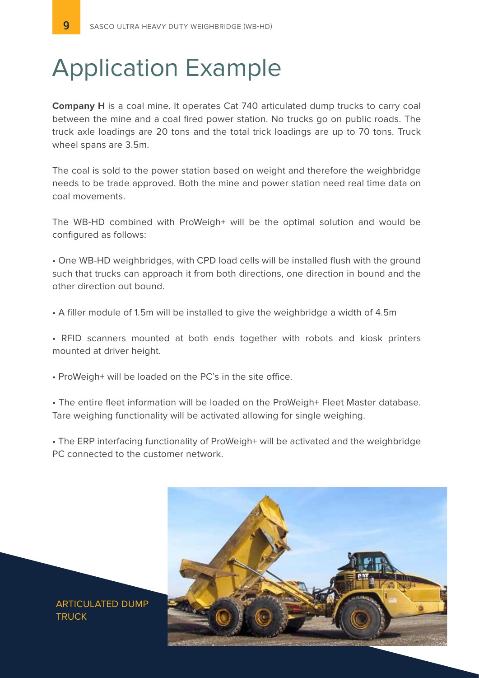### Application Example

**Company H** is a coal mine. It operates Cat 740 articulated dump trucks to carry coal between the mine and a coal fired power station. No trucks go on public roads. The truck axle loadings are 20 tons and the total trick loadings are up to 70 tons. Truck wheel spans are 3.5m.

The coal is sold to the power station based on weight and therefore the weighbridge needs to be trade approved. Both the mine and power station need real time data on coal movements.

The WB-HD combined with ProWeigh+ will be the optimal solution and would be configured as follows:

• One WB-HD weighbridges, with CPD load cells will be installed flush with the ground such that trucks can approach it from both directions, one direction in bound and the other direction out bound.

• A filler module of 1.5m will be installed to give the weighbridge a width of 4.5m

• RFID scanners mounted at both ends together with robots and kiosk printers mounted at driver height.

• ProWeigh+ will be loaded on the PC's in the site office.

• The entire fleet information will be loaded on the ProWeigh+ Fleet Master database. Tare weighing functionality will be activated allowing for single weighing.

• The ERP interfacing functionality of ProWeigh+ will be activated and the weighbridge PC connected to the customer network.



ARTICULATED DUMP **TRUCK**